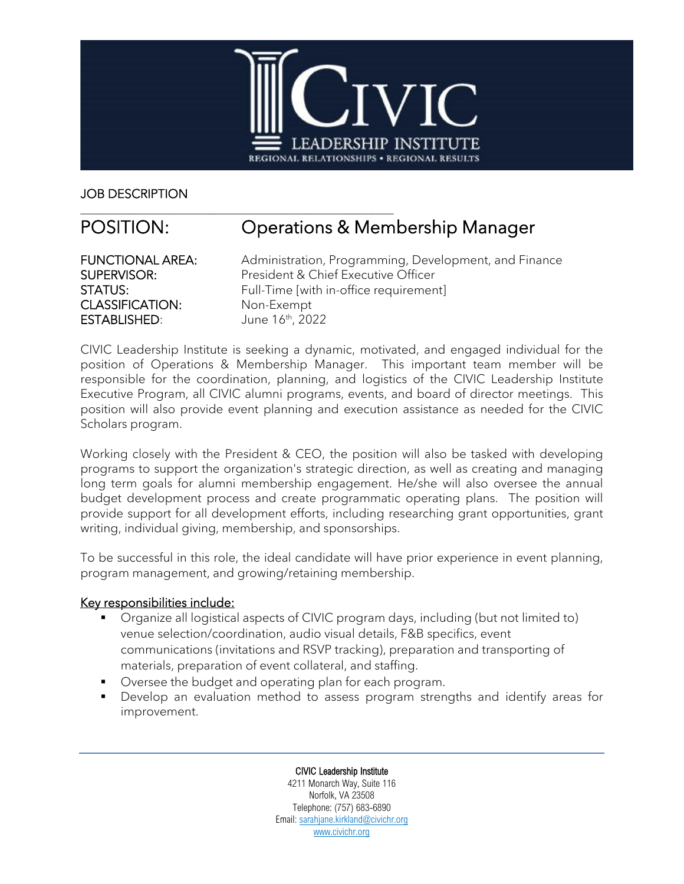

JOB DESCRIPTION

# \_\_\_\_\_\_\_\_\_\_\_\_\_\_\_\_\_\_\_\_\_\_\_\_\_\_\_\_\_\_\_\_\_\_\_\_\_\_\_\_\_\_\_\_\_\_\_\_\_\_\_ POSITION: Operations & Membership Manager

CLASSIFICATION: Non-Exempt ESTABLISHED: June 16<sup>th</sup>, 2022

FUNCTIONAL AREA: Administration, Programming, Development, and Finance SUPERVISOR: President & Chief Executive Officer STATUS: Full-Time [with in-office requirement]

CIVIC Leadership Institute is seeking a dynamic, motivated, and engaged individual for the position of Operations & Membership Manager. This important team member will be responsible for the coordination, planning, and logistics of the CIVIC Leadership Institute Executive Program, all CIVIC alumni programs, events, and board of director meetings. This position will also provide event planning and execution assistance as needed for the CIVIC Scholars program.

Working closely with the President & CEO, the position will also be tasked with developing programs to support the organization's strategic direction, as well as creating and managing long term goals for alumni membership engagement. He/she will also oversee the annual budget development process and create programmatic operating plans. The position will provide support for all development efforts, including researching grant opportunities, grant writing, individual giving, membership, and sponsorships.

To be successful in this role, the ideal candidate will have prior experience in event planning, program management, and growing/retaining membership.

### Key responsibilities include:

- Organize all logistical aspects of CIVIC program days, including (but not limited to) venue selection/coordination, audio visual details, F&B specifics, event communications (invitations and RSVP tracking), preparation and transporting of materials, preparation of event collateral, and staffing.
- Oversee the budget and operating plan for each program.
- Develop an evaluation method to assess program strengths and identify areas for improvement.

CIVIC Leadership Institute 4211 Monarch Way, Suite 116 Norfolk, VA 23508 Telephone: (757) 683-6890 Email: [sarahjane.kirkland@civichr.org](mailto:sarahjane.kirkland@civichr.org) [www.civichr.org](http://www.civichr.org/)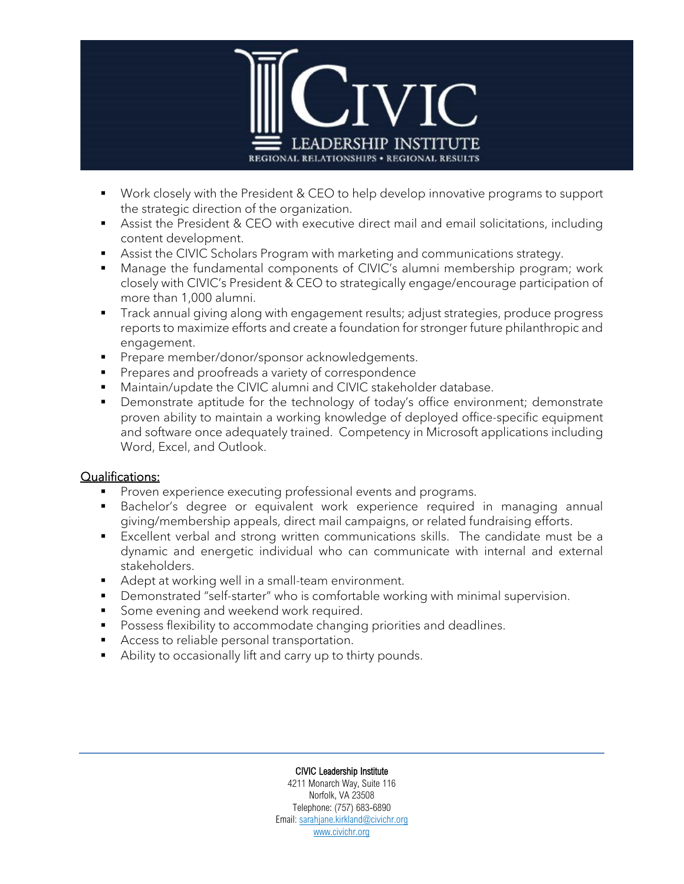

- Work closely with the President & CEO to help develop innovative programs to support the strategic direction of the organization.
- Assist the President & CEO with executive direct mail and email solicitations, including content development.
- Assist the CIVIC Scholars Program with marketing and communications strategy.
- Manage the fundamental components of CIVIC's alumni membership program; work closely with CIVIC's President & CEO to strategically engage/encourage participation of more than 1,000 alumni.
- **Track annual giving along with engagement results; adjust strategies, produce progress** reports to maximize efforts and create a foundation for stronger future philanthropic and engagement.
- **Prepare member/donor/sponsor acknowledgements.**
- **Prepares and proofreads a variety of correspondence**
- Maintain/update the CIVIC alumni and CIVIC stakeholder database.
- Demonstrate aptitude for the technology of today's office environment; demonstrate proven ability to maintain a working knowledge of deployed office-specific equipment and software once adequately trained. Competency in Microsoft applications including Word, Excel, and Outlook.

#### Qualifications:

- **Proven experience executing professional events and programs.**
- Bachelor's degree or equivalent work experience required in managing annual giving/membership appeals, direct mail campaigns, or related fundraising efforts.
- Excellent verbal and strong written communications skills. The candidate must be a dynamic and energetic individual who can communicate with internal and external stakeholders.
- Adept at working well in a small-team environment.
- Demonstrated "self-starter" who is comfortable working with minimal supervision.
- Some evening and weekend work required.
- **Possess flexibility to accommodate changing priorities and deadlines.**
- Access to reliable personal transportation.
- Ability to occasionally lift and carry up to thirty pounds.

#### CIVIC Leadership Institute

4211 Monarch Way, Suite 116 Norfolk, VA 23508 Telephone: (757) 683-6890 Email: [sarahjane.kirkland@civichr.org](mailto:sarahjane.kirkland@civichr.org) [www.civichr.org](http://www.civichr.org/)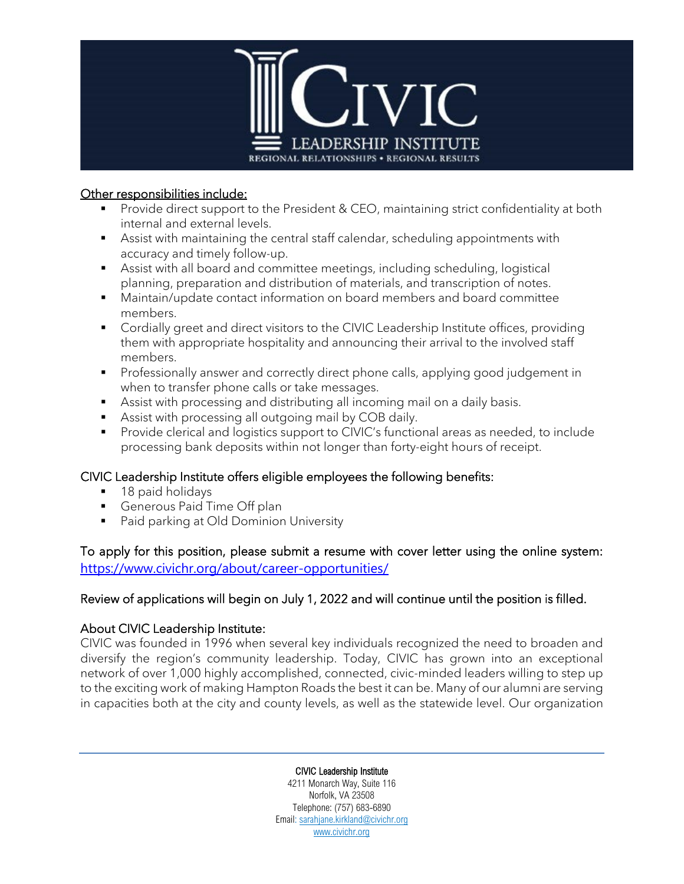

#### Other responsibilities include:

- Provide direct support to the President & CEO, maintaining strict confidentiality at both internal and external levels.
- Assist with maintaining the central staff calendar, scheduling appointments with accuracy and timely follow-up.
- Assist with all board and committee meetings, including scheduling, logistical planning, preparation and distribution of materials, and transcription of notes.
- Maintain/update contact information on board members and board committee members.
- **Cordially greet and direct visitors to the CIVIC Leadership Institute offices, providing** them with appropriate hospitality and announcing their arrival to the involved staff members.
- **Professionally answer and correctly direct phone calls, applying good judgement in** when to transfer phone calls or take messages.
- Assist with processing and distributing all incoming mail on a daily basis.
- Assist with processing all outgoing mail by COB daily.
- **Provide clerical and logistics support to CIVIC's functional areas as needed, to include** processing bank deposits within not longer than forty-eight hours of receipt.

## CIVIC Leadership Institute offers eligible employees the following benefits:

- 18 paid holidays
- Generous Paid Time Off plan
- **Paid parking at Old Dominion University**

To apply for this position, please submit a resume with cover letter using the online system: <https://www.civichr.org/about/career-opportunities/>

### Review of applications will begin on July 1, 2022 and will continue until the position is filled.

### About CIVIC Leadership Institute:

CIVIC was founded in 1996 when several key individuals recognized the need to broaden and diversify the region's community leadership. Today, CIVIC has grown into an exceptional network of over 1,000 highly accomplished, connected, civic-minded leaders willing to step up to the exciting work of making Hampton Roads the best it can be. Many of our alumni are serving in capacities both at the city and county levels, as well as the statewide level. Our organization

#### CIVIC Leadership Institute

4211 Monarch Way, Suite 116 Norfolk, VA 23508 Telephone: (757) 683-6890 Email: [sarahjane.kirkland@civichr.org](mailto:sarahjane.kirkland@civichr.org) [www.civichr.org](http://www.civichr.org/)